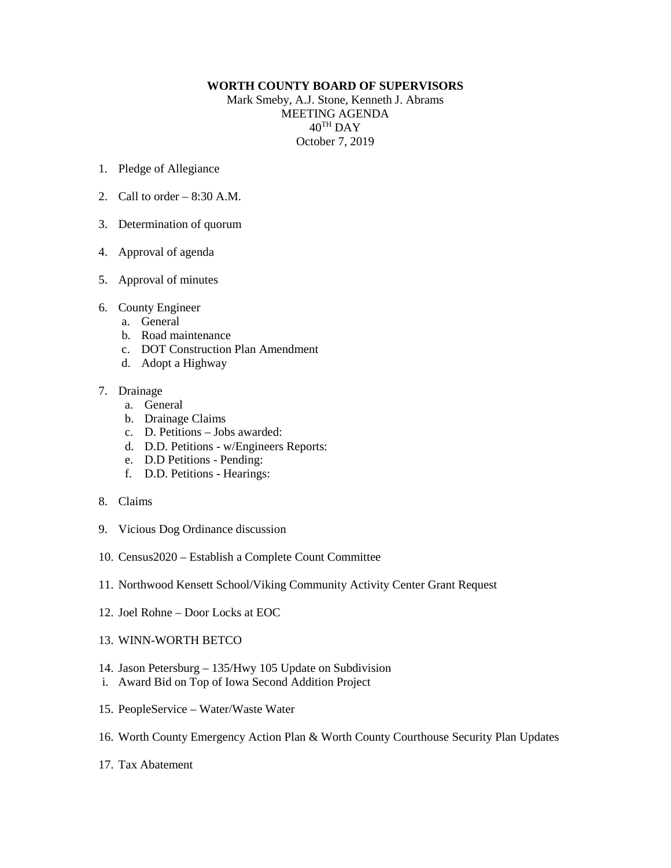## **WORTH COUNTY BOARD OF SUPERVISORS**

Mark Smeby, A.J. Stone, Kenneth J. Abrams MEETING AGENDA 40TH DAY October 7, 2019

- 1. Pledge of Allegiance
- 2. Call to order  $-8:30$  A.M.
- 3. Determination of quorum
- 4. Approval of agenda
- 5. Approval of minutes
- 6. County Engineer
	- a. General
	- b. Road maintenance
	- c. DOT Construction Plan Amendment
	- d. Adopt a Highway

## 7. Drainage

- a. General
- b. Drainage Claims
- c. D. Petitions Jobs awarded:
- d. D.D. Petitions w/Engineers Reports:
- e. D.D Petitions Pending:
- f. D.D. Petitions Hearings:
- 8. Claims
- 9. Vicious Dog Ordinance discussion
- 10. Census2020 Establish a Complete Count Committee
- 11. Northwood Kensett School/Viking Community Activity Center Grant Request
- 12. Joel Rohne Door Locks at EOC
- 13. WINN-WORTH BETCO
- 14. Jason Petersburg 135/Hwy 105 Update on Subdivision
- i. Award Bid on Top of Iowa Second Addition Project
- 15. PeopleService Water/Waste Water
- 16. Worth County Emergency Action Plan & Worth County Courthouse Security Plan Updates
- 17. Tax Abatement